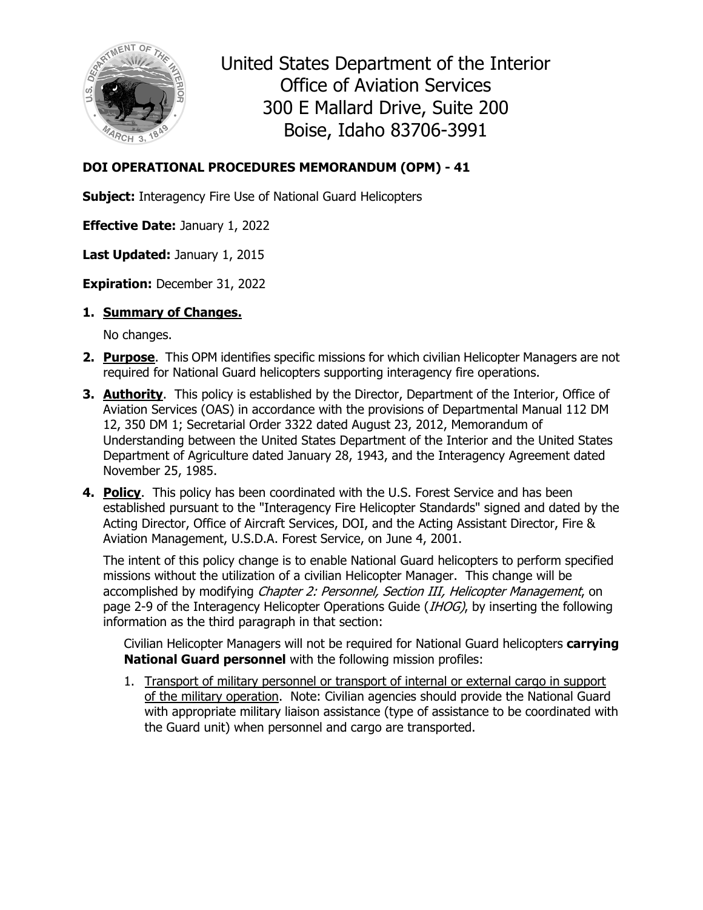

United States Department of the Interior Office of Aviation Services 300 E Mallard Drive, Suite 200 Boise, Idaho 83706-3991

## **DOI OPERATIONAL PROCEDURES MEMORANDUM (OPM) - 41**

**Subject:** Interagency Fire Use of National Guard Helicopters

**Effective Date:** January 1, 2022

**Last Updated:** January 1, 2015

**Expiration:** December 31, 2022

**1. Summary of Changes.**

No changes.

- **2. Purpose**. This OPM identifies specific missions for which civilian Helicopter Managers are not required for National Guard helicopters supporting interagency fire operations.
- **3. Authority**. This policy is established by the Director, Department of the Interior, Office of Aviation Services (OAS) in accordance with the provisions of Departmental Manual 112 DM 12, 350 DM 1; Secretarial Order 3322 dated August 23, 2012, Memorandum of Understanding between the United States Department of the Interior and the United States Department of Agriculture dated January 28, 1943, and the Interagency Agreement dated November 25, 1985.
- **4. Policy**. This policy has been coordinated with the U.S. Forest Service and has been established pursuant to the "Interagency Fire Helicopter Standards" signed and dated by the Acting Director, Office of Aircraft Services, DOI, and the Acting Assistant Director, Fire & Aviation Management, U.S.D.A. Forest Service, on June 4, 2001.

The intent of this policy change is to enable National Guard helicopters to perform specified missions without the utilization of a civilian Helicopter Manager. This change will be accomplished by modifying *Chapter 2: Personnel, Section III, Helicopter Management*, on page 2-9 of the Interagency Helicopter Operations Guide (IHOG), by inserting the following information as the third paragraph in that section:

Civilian Helicopter Managers will not be required for National Guard helicopters **carrying National Guard personnel** with the following mission profiles:

1. Transport of military personnel or transport of internal or external cargo in support of the military operation. Note: Civilian agencies should provide the National Guard with appropriate military liaison assistance (type of assistance to be coordinated with the Guard unit) when personnel and cargo are transported.